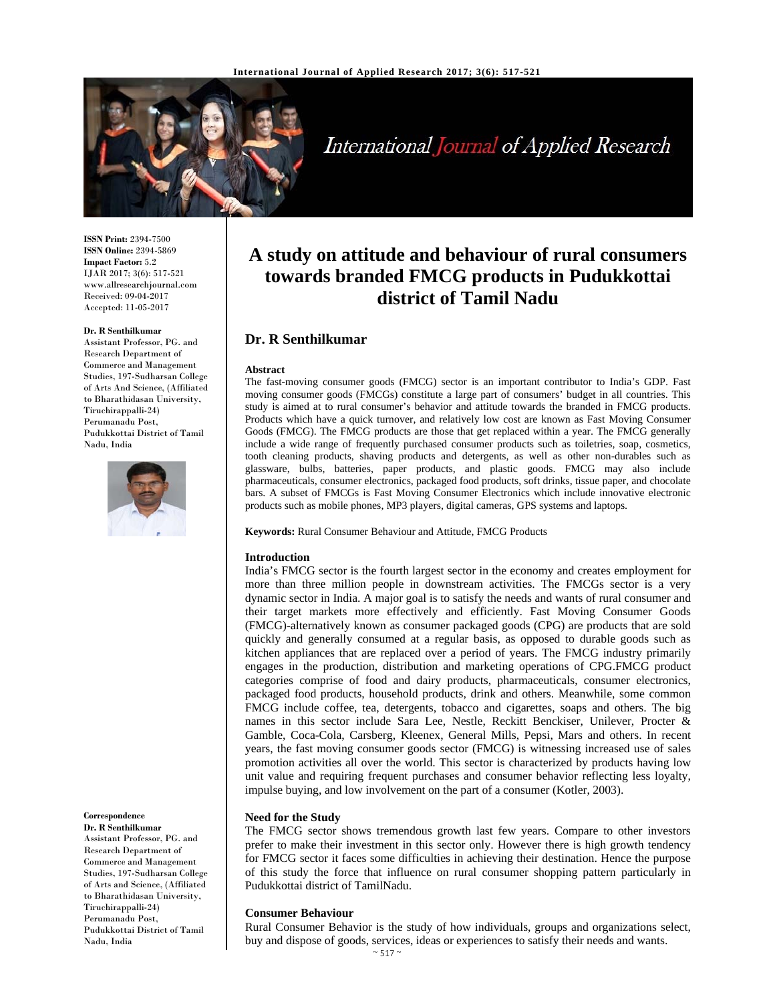

International Journal of Applied Research

**ISSN Print:** 2394-7500 **ISSN Online:** 2394-5869 **Impact Factor:** 5.2 IJAR 2017; 3(6): 517-521 www.allresearchjournal.com Received: 09-04-2017 Accepted: 11-05-2017

#### **Dr. R Senthilkumar**

Assistant Professor, PG. and Research Department of Commerce and Management Studies, 197-Sudharsan College of Arts And Science, (Affiliated to Bharathidasan University, Tiruchirappalli-24) Perumanadu Post, Pudukkottai District of Tamil Nadu, India



#### **Correspondence**

**Dr. R Senthilkumar**  Assistant Professor, PG. and Research Department of Commerce and Management Studies, 197-Sudharsan College of Arts and Science, (Affiliated to Bharathidasan University, Tiruchirappalli-24) Perumanadu Post, Pudukkottai District of Tamil Nadu, India

# **A study on attitude and behaviour of rural consumers towards branded FMCG products in Pudukkottai district of Tamil Nadu**

# **Dr. R Senthilkumar**

#### **Abstract**

The fast-moving consumer goods (FMCG) sector is an important contributor to India's GDP. Fast moving consumer goods (FMCGs) constitute a large part of consumers' budget in all countries. This study is aimed at to rural consumer's behavior and attitude towards the branded in FMCG products. Products which have a quick turnover, and relatively low cost are known as Fast Moving Consumer Goods (FMCG). The FMCG products are those that get replaced within a year. The FMCG generally include a wide range of frequently purchased consumer products such as toiletries, soap, cosmetics, tooth cleaning products, shaving products and detergents, as well as other non-durables such as glassware, bulbs, batteries, paper products, and plastic goods. FMCG may also include pharmaceuticals, consumer electronics, packaged food products, soft drinks, tissue paper, and chocolate bars. A subset of FMCGs is Fast Moving Consumer Electronics which include innovative electronic products such as mobile phones, MP3 players, digital cameras, GPS systems and laptops.

**Keywords:** Rural Consumer Behaviour and Attitude, FMCG Products

#### **Introduction**

India's FMCG sector is the fourth largest sector in the economy and creates employment for more than three million people in downstream activities. The FMCGs sector is a very dynamic sector in India. A major goal is to satisfy the needs and wants of rural consumer and their target markets more effectively and efficiently. Fast Moving Consumer Goods (FMCG)-alternatively known as consumer packaged goods (CPG) are products that are sold quickly and generally consumed at a regular basis, as opposed to durable goods such as kitchen appliances that are replaced over a period of years. The FMCG industry primarily engages in the production, distribution and marketing operations of CPG.FMCG product categories comprise of food and dairy products, pharmaceuticals, consumer electronics, packaged food products, household products, drink and others. Meanwhile, some common FMCG include coffee, tea, detergents, tobacco and cigarettes, soaps and others. The big names in this sector include Sara Lee, Nestle, Reckitt Benckiser, Unilever, Procter & Gamble, Coca-Cola, Carsberg, Kleenex, General Mills, Pepsi, Mars and others. In recent years, the fast moving consumer goods sector (FMCG) is witnessing increased use of sales promotion activities all over the world. This sector is characterized by products having low unit value and requiring frequent purchases and consumer behavior reflecting less loyalty, impulse buying, and low involvement on the part of a consumer (Kotler, 2003).

#### **Need for the Study**

The FMCG sector shows tremendous growth last few years. Compare to other investors prefer to make their investment in this sector only. However there is high growth tendency for FMCG sector it faces some difficulties in achieving their destination. Hence the purpose of this study the force that influence on rural consumer shopping pattern particularly in Pudukkottai district of TamilNadu.

#### **Consumer Behaviour**

Rural Consumer Behavior is the study of how individuals, groups and organizations select, buy and dispose of goods, services, ideas or experiences to satisfy their needs and wants.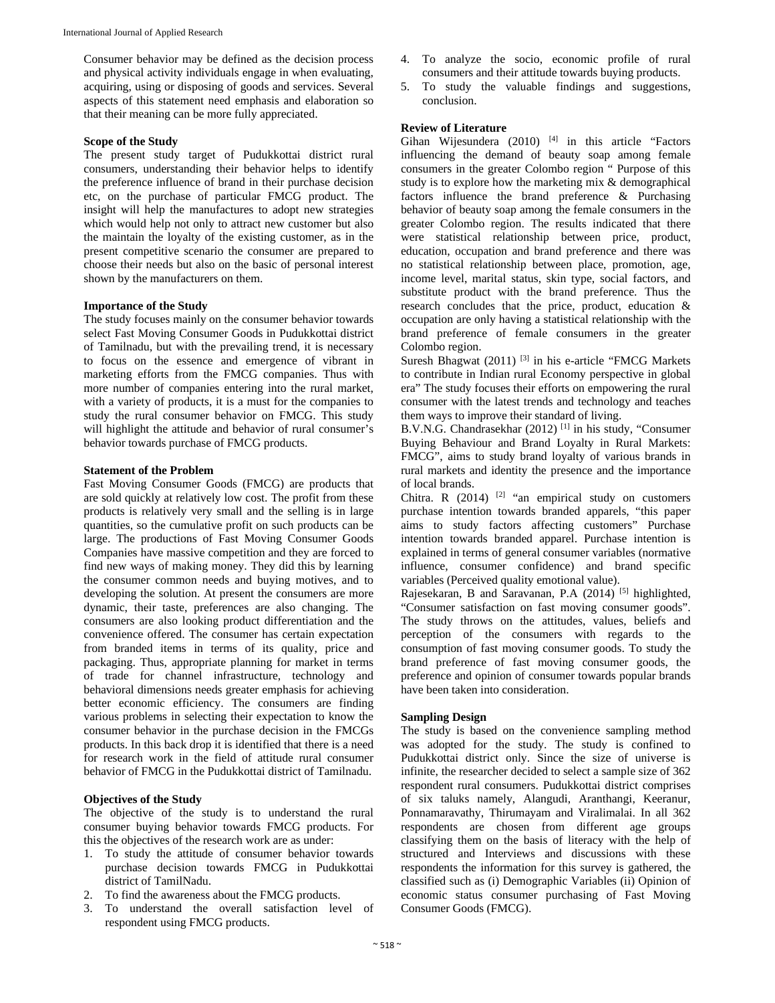Consumer behavior may be defined as the decision process and physical activity individuals engage in when evaluating, acquiring, using or disposing of goods and services. Several aspects of this statement need emphasis and elaboration so that their meaning can be more fully appreciated.

#### **Scope of the Study**

The present study target of Pudukkottai district rural consumers, understanding their behavior helps to identify the preference influence of brand in their purchase decision etc, on the purchase of particular FMCG product. The insight will help the manufactures to adopt new strategies which would help not only to attract new customer but also the maintain the loyalty of the existing customer, as in the present competitive scenario the consumer are prepared to choose their needs but also on the basic of personal interest shown by the manufacturers on them.

#### **Importance of the Study**

The study focuses mainly on the consumer behavior towards select Fast Moving Consumer Goods in Pudukkottai district of Tamilnadu, but with the prevailing trend, it is necessary to focus on the essence and emergence of vibrant in marketing efforts from the FMCG companies. Thus with more number of companies entering into the rural market, with a variety of products, it is a must for the companies to study the rural consumer behavior on FMCG. This study will highlight the attitude and behavior of rural consumer's behavior towards purchase of FMCG products.

#### **Statement of the Problem**

Fast Moving Consumer Goods (FMCG) are products that are sold quickly at relatively low cost. The profit from these products is relatively very small and the selling is in large quantities, so the cumulative profit on such products can be large. The productions of Fast Moving Consumer Goods Companies have massive competition and they are forced to find new ways of making money. They did this by learning the consumer common needs and buying motives, and to developing the solution. At present the consumers are more dynamic, their taste, preferences are also changing. The consumers are also looking product differentiation and the convenience offered. The consumer has certain expectation from branded items in terms of its quality, price and packaging. Thus, appropriate planning for market in terms of trade for channel infrastructure, technology and behavioral dimensions needs greater emphasis for achieving better economic efficiency. The consumers are finding various problems in selecting their expectation to know the consumer behavior in the purchase decision in the FMCGs products. In this back drop it is identified that there is a need for research work in the field of attitude rural consumer behavior of FMCG in the Pudukkottai district of Tamilnadu.

#### **Objectives of the Study**

The objective of the study is to understand the rural consumer buying behavior towards FMCG products. For this the objectives of the research work are as under:

- 1. To study the attitude of consumer behavior towards purchase decision towards FMCG in Pudukkottai district of TamilNadu.
- 2. To find the awareness about the FMCG products.
- 3. To understand the overall satisfaction level of respondent using FMCG products.
- 4. To analyze the socio, economic profile of rural consumers and their attitude towards buying products.
- 5. To study the valuable findings and suggestions, conclusion.

#### **Review of Literature**

Gihan Wijesundera (2010) [4] in this article "Factors influencing the demand of beauty soap among female consumers in the greater Colombo region " Purpose of this study is to explore how the marketing mix  $\&$  demographical factors influence the brand preference & Purchasing behavior of beauty soap among the female consumers in the greater Colombo region. The results indicated that there were statistical relationship between price, product, education, occupation and brand preference and there was no statistical relationship between place, promotion, age, income level, marital status, skin type, social factors, and substitute product with the brand preference. Thus the research concludes that the price, product, education & occupation are only having a statistical relationship with the brand preference of female consumers in the greater Colombo region.

Suresh Bhagwat  $(2011)$ <sup>[3]</sup> in his e-article "FMCG Markets" to contribute in Indian rural Economy perspective in global era" The study focuses their efforts on empowering the rural consumer with the latest trends and technology and teaches them ways to improve their standard of living.

B.V.N.G. Chandrasekhar (2012) [1] in his study, "Consumer Buying Behaviour and Brand Loyalty in Rural Markets: FMCG", aims to study brand loyalty of various brands in rural markets and identity the presence and the importance of local brands.

Chitra. R  $(2014)$  <sup>[2]</sup> "an empirical study on customers purchase intention towards branded apparels, "this paper aims to study factors affecting customers" Purchase intention towards branded apparel. Purchase intention is explained in terms of general consumer variables (normative influence, consumer confidence) and brand specific variables (Perceived quality emotional value).

Rajesekaran, B and Saravanan, P.A (2014)<sup>[5]</sup> highlighted, "Consumer satisfaction on fast moving consumer goods". The study throws on the attitudes, values, beliefs and perception of the consumers with regards to the consumption of fast moving consumer goods. To study the brand preference of fast moving consumer goods, the preference and opinion of consumer towards popular brands have been taken into consideration.

### **Sampling Design**

The study is based on the convenience sampling method was adopted for the study. The study is confined to Pudukkottai district only. Since the size of universe is infinite, the researcher decided to select a sample size of 362 respondent rural consumers. Pudukkottai district comprises of six taluks namely, Alangudi, Aranthangi, Keeranur, Ponnamaravathy, Thirumayam and Viralimalai. In all 362 respondents are chosen from different age groups classifying them on the basis of literacy with the help of structured and Interviews and discussions with these respondents the information for this survey is gathered, the classified such as (i) Demographic Variables (ii) Opinion of economic status consumer purchasing of Fast Moving Consumer Goods (FMCG).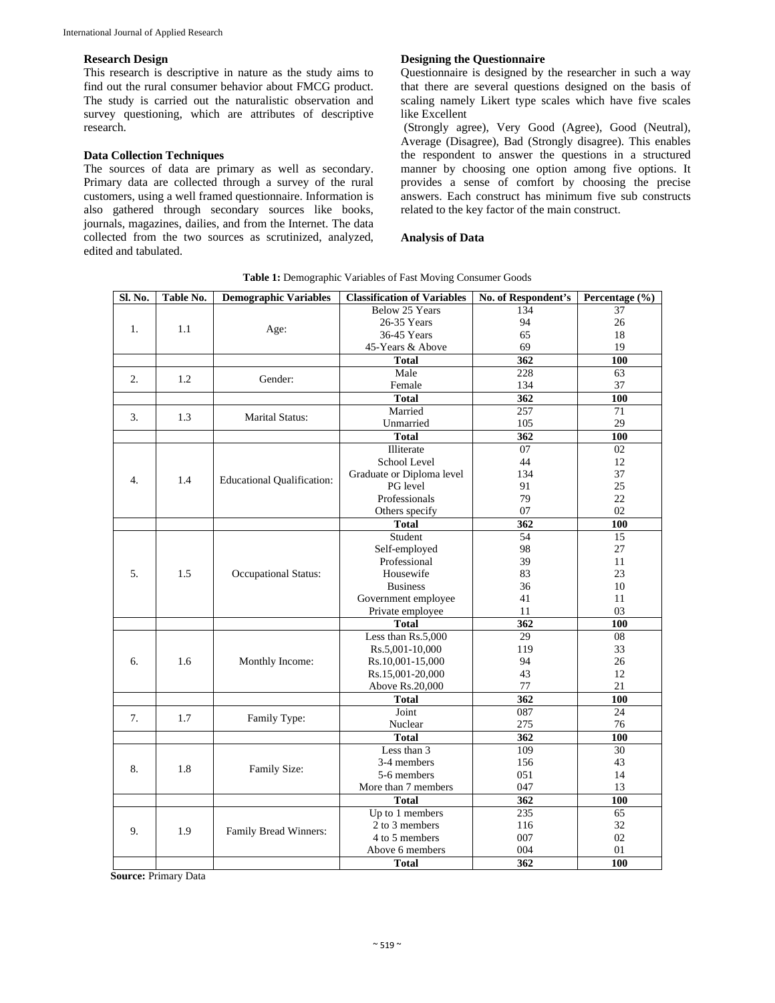#### **Research Design**

This research is descriptive in nature as the study aims to find out the rural consumer behavior about FMCG product. The study is carried out the naturalistic observation and survey questioning, which are attributes of descriptive research.

#### **Data Collection Techniques**

The sources of data are primary as well as secondary. Primary data are collected through a survey of the rural customers, using a well framed questionnaire. Information is also gathered through secondary sources like books, journals, magazines, dailies, and from the Internet. The data collected from the two sources as scrutinized, analyzed, edited and tabulated.

#### **Designing the Questionnaire**

Questionnaire is designed by the researcher in such a way that there are several questions designed on the basis of scaling namely Likert type scales which have five scales like Excellent

 (Strongly agree), Very Good (Agree), Good (Neutral), Average (Disagree), Bad (Strongly disagree). This enables the respondent to answer the questions in a structured manner by choosing one option among five options. It provides a sense of comfort by choosing the precise answers. Each construct has minimum five sub constructs related to the key factor of the main construct.

**Analysis of Data**

| Sl. No. | Table No. | <b>Demographic Variables</b>      | <b>Classification of Variables</b> | No. of Respondent's | Percentage (%) |
|---------|-----------|-----------------------------------|------------------------------------|---------------------|----------------|
|         |           |                                   | Below 25 Years                     | 134                 | 37             |
| 1.      | 1.1       |                                   | 26-35 Years                        | 94                  | 26             |
|         |           | Age:                              | 36-45 Years                        | 65                  | 18             |
|         |           |                                   | 45-Years & Above                   | 69                  | 19             |
|         |           |                                   | <b>Total</b>                       | 362                 | 100            |
| 2.      | 1.2       | Gender:                           | Male                               | 228                 | 63             |
|         |           |                                   | Female                             | 134                 | 37             |
|         |           |                                   | <b>Total</b>                       | 362                 | 100            |
| 3.      | 1.3       | <b>Marital Status:</b>            | Married                            | 257                 | 71             |
|         |           |                                   | Unmarried                          | 105                 | 29             |
|         |           |                                   | <b>Total</b>                       | 362                 | 100            |
| 4.      | 1.4       | <b>Educational Qualification:</b> | Illiterate                         | $\overline{07}$     | 02             |
|         |           |                                   | School Level                       | 44                  | 12             |
|         |           |                                   | Graduate or Diploma level          | 134                 | 37             |
|         |           |                                   | PG level                           | 91                  | 25             |
|         |           |                                   | Professionals                      | 79                  | 22             |
|         |           |                                   | Others specify                     | 07                  | 02             |
|         |           |                                   | <b>Total</b>                       | 362                 | 100            |
|         | 1.5       | Occupational Status:              | Student                            | 54                  | 15             |
|         |           |                                   | Self-employed                      | 98                  | 27             |
|         |           |                                   | Professional                       | 39                  | 11             |
| 5.      |           |                                   | Housewife                          | 83                  | 23             |
|         |           |                                   | <b>Business</b>                    | 36                  | 10             |
|         |           |                                   | Government employee                | 41                  | 11             |
|         |           |                                   | Private employee                   | 11                  | 03             |
|         |           |                                   | <b>Total</b>                       | $\overline{362}$    | 100            |
|         | 1.6       | Monthly Income:                   | Less than Rs.5,000                 | 29                  | 08             |
|         |           |                                   | Rs.5,001-10,000                    | 119                 | 33             |
| б.      |           |                                   | Rs.10,001-15,000                   | 94                  | 26             |
|         |           |                                   | Rs.15,001-20,000                   | 43                  | 12             |
|         |           |                                   | Above Rs.20,000                    | 77                  | 21             |
|         |           |                                   | <b>Total</b>                       | 362                 | 100            |
| 7.      | 1.7       | Family Type:                      | Joint                              | 087                 | 24             |
|         |           |                                   | Nuclear                            | 275                 | 76             |
|         |           |                                   | <b>Total</b>                       | 362                 | 100            |
| 8.      | 1.8       | Family Size:                      | Less than 3                        | 109                 | 30             |
|         |           |                                   | 3-4 members                        | 156                 | 43             |
|         |           |                                   | 5-6 members                        | 051                 | 14             |
|         |           |                                   | More than 7 members                | 047                 | 13             |
|         |           |                                   | <b>Total</b>                       | 362                 | 100            |
| 9.      | 1.9       | Family Bread Winners:             | Up to 1 members                    | 235                 | 65             |
|         |           |                                   | 2 to 3 members                     | 116                 | 32             |
|         |           |                                   | 4 to 5 members                     | 007                 | 02             |
|         |           |                                   | Above 6 members                    | 004                 | 01             |
|         |           |                                   | <b>Total</b>                       | 362                 | 100            |

**Table 1:** Demographic Variables of Fast Moving Consumer Goods

**Source:** Primary Data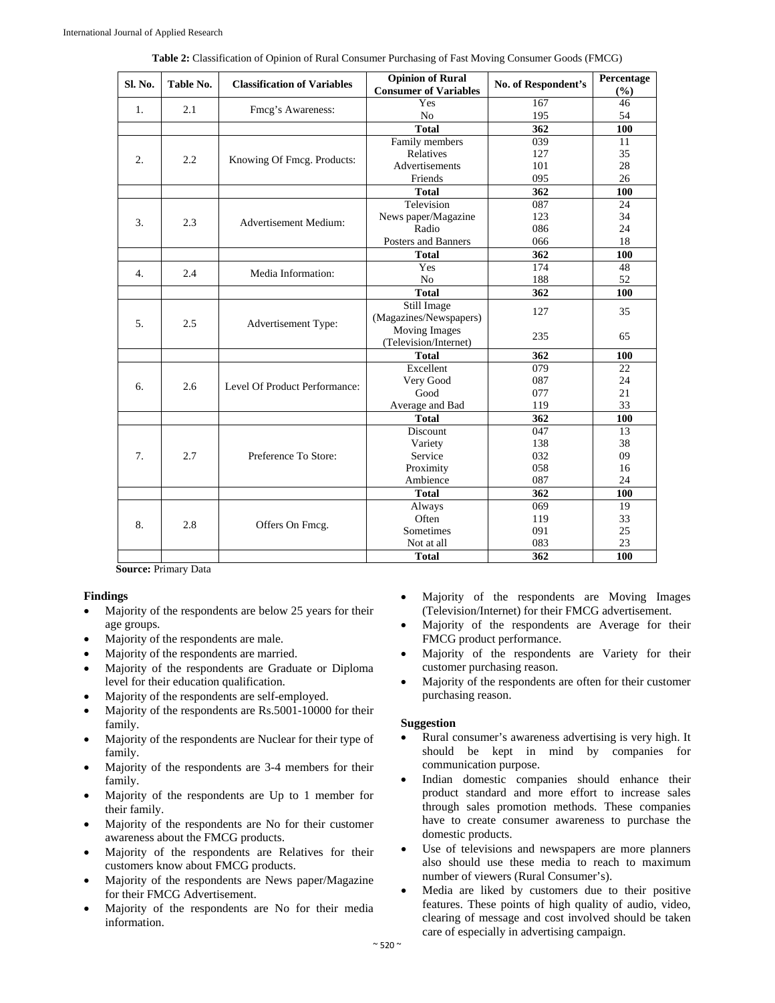| Sl. No. | Table No. | <b>Classification of Variables</b> | <b>Opinion of Rural</b><br><b>Consumer of Variables</b> | No. of Respondent's | Percentage<br>(%) |
|---------|-----------|------------------------------------|---------------------------------------------------------|---------------------|-------------------|
| 1.      |           | Fmcg's Awareness:                  | Yes                                                     | 167                 | 46                |
|         | 2.1       |                                    | N <sub>0</sub>                                          | 195                 | 54                |
|         |           |                                    | <b>Total</b>                                            | 362                 | 100               |
| 2.      | 2.2       | Knowing Of Fmcg. Products:         | Family members                                          | 039                 | 11                |
|         |           |                                    | Relatives                                               | 127                 | 35                |
|         |           |                                    | Advertisements                                          | 101                 | 28                |
|         |           |                                    | Friends                                                 | 095                 | 26                |
|         |           |                                    | <b>Total</b>                                            | 362                 | 100               |
|         | 2.3       | Advertisement Medium:              | Television                                              | 087                 | 24                |
| 3.      |           |                                    | News paper/Magazine                                     | 123                 | 34                |
|         |           |                                    | Radio                                                   | 086                 | 24                |
|         |           |                                    | Posters and Banners                                     | 066                 | 18                |
|         |           |                                    | <b>Total</b>                                            | 362                 | 100               |
| 4.      | 2.4       | Media Information:                 | Yes                                                     | 174                 | 48                |
|         |           |                                    | N <sub>o</sub>                                          | 188                 | 52                |
|         |           |                                    | <b>Total</b>                                            | 362                 | 100               |
|         | 2.5       | Advertisement Type:                | Still Image                                             | 127                 | 35                |
| 5.      |           |                                    | (Magazines/Newspapers)                                  |                     |                   |
|         |           |                                    | Moving Images                                           | 235                 | 65                |
|         |           |                                    | (Television/Internet)                                   |                     |                   |
|         |           |                                    | <b>Total</b>                                            | 362                 | 100               |
|         | 2.6       | Level Of Product Performance:      | Excellent                                               | 079                 | 22                |
| 6.      |           |                                    | Very Good                                               | 087                 | 24                |
|         |           |                                    | Good                                                    | 077                 | 21                |
|         |           |                                    | Average and Bad                                         | 119                 | 33                |
|         |           |                                    | <b>Total</b>                                            | 362                 | 100               |
| 7.      | 2.7       | Preference To Store:               | Discount                                                | 047                 | 13                |
|         |           |                                    | Variety                                                 | 138                 | 38                |
|         |           |                                    | Service                                                 | 032                 | 09                |
|         |           |                                    | Proximity                                               | 058                 | 16                |
|         |           |                                    | Ambience                                                | 087                 | 24                |
|         |           |                                    | <b>Total</b>                                            | 362                 | 100               |
| 8.      | 2.8       | Offers On Fmcg.                    | Always                                                  | 069                 | 19                |
|         |           |                                    | Often                                                   | 119                 | 33                |
|         |           |                                    | Sometimes                                               | 091                 | 25                |
|         |           |                                    | Not at all                                              | 083                 | 23                |
|         |           |                                    | <b>Total</b>                                            | 362                 | 100               |

**Table 2:** Classification of Opinion of Rural Consumer Purchasing of Fast Moving Consumer Goods (FMCG)

**Source:** Primary Data

# **Findings**

- Majority of the respondents are below 25 years for their age groups.
- Majority of the respondents are male.
- Majority of the respondents are married.
- Majority of the respondents are Graduate or Diploma level for their education qualification.
- Majority of the respondents are self-employed.
- Majority of the respondents are Rs.5001-10000 for their family.
- Majority of the respondents are Nuclear for their type of family.
- Majority of the respondents are 3-4 members for their family.
- Majority of the respondents are Up to 1 member for their family.
- Majority of the respondents are No for their customer awareness about the FMCG products.
- Majority of the respondents are Relatives for their customers know about FMCG products.
- Majority of the respondents are News paper/Magazine for their FMCG Advertisement.
- Majority of the respondents are No for their media information.
- Majority of the respondents are Moving Images (Television/Internet) for their FMCG advertisement.
- Majority of the respondents are Average for their FMCG product performance.
- Majority of the respondents are Variety for their customer purchasing reason.
- Majority of the respondents are often for their customer purchasing reason.

# **Suggestion**

- Rural consumer's awareness advertising is very high. It should be kept in mind by companies for communication purpose.
- Indian domestic companies should enhance their product standard and more effort to increase sales through sales promotion methods. These companies have to create consumer awareness to purchase the domestic products.
- Use of televisions and newspapers are more planners also should use these media to reach to maximum number of viewers (Rural Consumer's).
- Media are liked by customers due to their positive features. These points of high quality of audio, video, clearing of message and cost involved should be taken care of especially in advertising campaign.